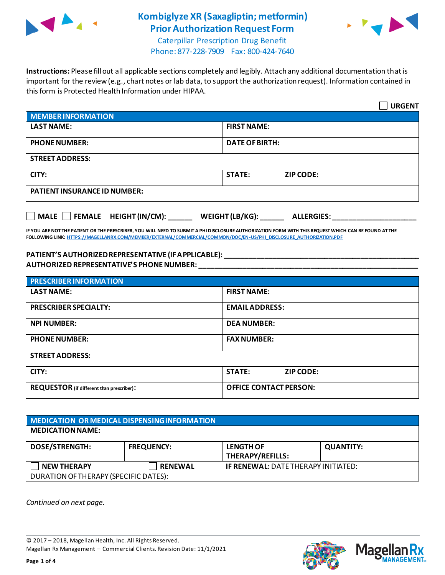



Caterpillar Prescription Drug Benefit Phone: 877-228-7909 Fax: 800-424-7640

**Instructions:** Please fill out all applicable sections completely and legibly. Attach any additional documentation that is important for the review (e.g., chart notes or lab data, to support the authorization request). Information contained in this form is Protected Health Information under HIPAA.

|                                                                                   | <b>URGENT</b>                     |  |  |  |
|-----------------------------------------------------------------------------------|-----------------------------------|--|--|--|
| <b>MEMBER INFORMATION</b>                                                         |                                   |  |  |  |
| <b>LAST NAME:</b>                                                                 | <b>FIRST NAME:</b>                |  |  |  |
| <b>PHONE NUMBER:</b>                                                              | <b>DATE OF BIRTH:</b>             |  |  |  |
| <b>STREET ADDRESS:</b>                                                            |                                   |  |  |  |
| CITY:                                                                             | <b>STATE:</b><br><b>ZIP CODE:</b> |  |  |  |
| <b>PATIENT INSURANCE ID NUMBER:</b>                                               |                                   |  |  |  |
| $\Box$ MALE $\Box$ FEMALE HEIGHT (IN/CM):<br>WEIGHT (LB/KG):<br><b>ALLERGIES:</b> |                                   |  |  |  |

**IF YOU ARE NOT THE PATIENT OR THE PRESCRIBER, YOU WILL NEED TO SUBMIT A PHI DISCLOSURE AUTHORIZATION FORM WITH THIS REQUEST WHICH CAN BE FOUND AT THE FOLLOWING LINK[: HTTPS://MAGELLANRX.COM/MEMBER/EXTERNAL/COMMERCIAL/COMMON/DOC/EN-US/PHI\\_DISCLOSURE\\_AUTHORIZATION.PDF](https://magellanrx.com/member/external/commercial/common/doc/en-us/PHI_Disclosure_Authorization.pdf)**

#### **PATIENT'S AUTHORIZED REPRESENTATIVE (IF APPLICABLE): \_\_\_\_\_\_\_\_\_\_\_\_\_\_\_\_\_\_\_\_\_\_\_\_\_\_\_\_\_\_\_\_\_\_\_\_\_\_\_\_\_\_\_\_\_\_\_\_\_ AUTHORIZED REPRESENTATIVE'S PHONE NUMBER: \_\_\_\_\_\_\_\_\_\_\_\_\_\_\_\_\_\_\_\_\_\_\_\_\_\_\_\_\_\_\_\_\_\_\_\_\_\_\_\_\_\_\_\_\_\_\_\_\_\_\_\_\_\_\_**

| <b>PRESCRIBER INFORMATION</b>             |                               |  |
|-------------------------------------------|-------------------------------|--|
| <b>LAST NAME:</b>                         | <b>FIRST NAME:</b>            |  |
| <b>PRESCRIBER SPECIALTY:</b>              | <b>EMAIL ADDRESS:</b>         |  |
| <b>NPI NUMBER:</b>                        | <b>DEA NUMBER:</b>            |  |
| <b>PHONE NUMBER:</b>                      | <b>FAX NUMBER:</b>            |  |
| <b>STREET ADDRESS:</b>                    |                               |  |
| CITY:                                     | <b>STATE:</b><br>ZIP CODE:    |  |
| REQUESTOR (if different than prescriber): | <b>OFFICE CONTACT PERSON:</b> |  |

| MEDICATION OR MEDICAL DISPENSING INFORMATION |                   |                                            |                  |  |  |
|----------------------------------------------|-------------------|--------------------------------------------|------------------|--|--|
| <b>MEDICATION NAME:</b>                      |                   |                                            |                  |  |  |
| <b>DOSE/STRENGTH:</b>                        | <b>FREQUENCY:</b> | <b>LENGTH OF</b><br>THERAPY/REFILLS:       | <b>QUANTITY:</b> |  |  |
| <b>NEW THERAPY</b>                           | <b>RENEWAL</b>    | <b>IF RENEWAL: DATE THERAPY INITIATED:</b> |                  |  |  |
| DURATION OF THERAPY (SPECIFIC DATES):        |                   |                                            |                  |  |  |

*Continued on next page.*

© 2017 – 2018, Magellan Health, Inc. All Rights Reserved. Magellan Rx Management – Commercial Clients. Revision Date: 11/1/2021



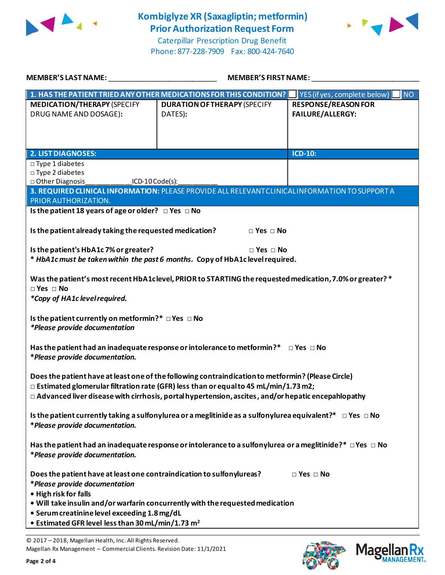



Caterpillar Prescription Drug Benefit Phone: 877-228-7909 Fax: 800-424-7640

| MEMBER'S LAST NAME:                                                                                                 | <b>MEMBER'S FIRST NAME:</b>                                                                              |                            |  |  |
|---------------------------------------------------------------------------------------------------------------------|----------------------------------------------------------------------------------------------------------|----------------------------|--|--|
|                                                                                                                     | 1. HAS THE PATIENT TRIED ANY OTHER MEDICATIONS FOR THIS CONDITION? VES (if yes, complete below)          | <b>NO</b>                  |  |  |
| <b>MEDICATION/THERAPY (SPECIFY</b>                                                                                  | <b>DURATION OF THERAPY (SPECIFY</b>                                                                      | <b>RESPONSE/REASON FOR</b> |  |  |
| DRUG NAME AND DOSAGE):                                                                                              | DATES):                                                                                                  | <b>FAILURE/ALLERGY:</b>    |  |  |
|                                                                                                                     |                                                                                                          |                            |  |  |
|                                                                                                                     |                                                                                                          |                            |  |  |
| <b>2. LIST DIAGNOSES:</b>                                                                                           |                                                                                                          | <b>ICD-10:</b>             |  |  |
| $\square$ Type 1 diabetes                                                                                           |                                                                                                          |                            |  |  |
| □ Type 2 diabetes                                                                                                   |                                                                                                          |                            |  |  |
| □ Other Diagnosis<br>ICD-10 Code(s):                                                                                | 3. REQUIRED CLINICAL INFORMATION: PLEASE PROVIDE ALL RELEVANT CLINICAL INFORMATION TO SUPPORT A          |                            |  |  |
| PRIOR AUTHORIZATION.                                                                                                |                                                                                                          |                            |  |  |
| Is the patient 18 years of age or older? $\Box$ Yes $\Box$ No                                                       |                                                                                                          |                            |  |  |
|                                                                                                                     |                                                                                                          |                            |  |  |
| Is the patient already taking the requested medication?                                                             | $\Box$ Yes $\Box$ No                                                                                     |                            |  |  |
| Is the patient's HbA1c 7% or greater?                                                                               | $\Box$ Yes $\Box$ No                                                                                     |                            |  |  |
|                                                                                                                     | * HbA1c must be taken within the past 6 months. Copy of HbA1c level required.                            |                            |  |  |
|                                                                                                                     |                                                                                                          |                            |  |  |
|                                                                                                                     | Was the patient's most recent HbA1clevel, PRIOR to STARTING the requested medication, 7.0% or greater? * |                            |  |  |
| $\Box$ Yes $\Box$ No<br>*Copy of HA1c level required.                                                               |                                                                                                          |                            |  |  |
|                                                                                                                     |                                                                                                          |                            |  |  |
| Is the patient currently on metformin?* $\Box$ Yes $\Box$ No                                                        |                                                                                                          |                            |  |  |
| *Please provide documentation                                                                                       |                                                                                                          |                            |  |  |
|                                                                                                                     |                                                                                                          |                            |  |  |
| *Please provide documentation.                                                                                      | Has the patient had an inadequate response or intolerance to metformin?* $\Box$ Yes $\Box$ No            |                            |  |  |
|                                                                                                                     |                                                                                                          |                            |  |  |
| Does the patient have at least one of the following contraindication to metformin? (Please Circle)                  |                                                                                                          |                            |  |  |
| $\Box$ Estimated glomerular filtration rate (GFR) less than or equal to 45 mL/min/1.73 m2;                          |                                                                                                          |                            |  |  |
| $\Box$ Advanced liver disease with cirrhosis, portal hypertension, ascites, and/or hepatic encepahlopathy           |                                                                                                          |                            |  |  |
| Is the patient currently taking a sulfonylurea or a meglitinide as a sulfonylurea equivalent?* $\Box$ Yes $\Box$ No |                                                                                                          |                            |  |  |
| *Please provide documentation.                                                                                      |                                                                                                          |                            |  |  |
|                                                                                                                     |                                                                                                          |                            |  |  |
| Has the patient had an inadequate response or intolerance to a sulfonylurea or a meglitinide?* $\Box$ Yes $\Box$ No |                                                                                                          |                            |  |  |
| *Please provide documentation.                                                                                      |                                                                                                          |                            |  |  |
| Does the patient have at least one contraindication to sulfonylureas?                                               |                                                                                                          | $\Box$ Yes $\Box$ No       |  |  |
| *Please provide documentation                                                                                       |                                                                                                          |                            |  |  |
| • High risk for falls                                                                                               |                                                                                                          |                            |  |  |
| . Will take insulin and/or warfarin concurrently with the requested medication                                      |                                                                                                          |                            |  |  |
| • Serum creatinine level exceeding 1.8 mg/dL<br>• Estimated GFR level less than 30 mL/min/1.73 m <sup>2</sup>       |                                                                                                          |                            |  |  |
|                                                                                                                     |                                                                                                          |                            |  |  |

© 2017 – 2018, Magellan Health, Inc. All Rights Reserved. Magellan Rx Management – Commercial Clients. Revision Date: 11/1/2021



**Mage** 

**MANAGEMENT**<sub>SM</sub>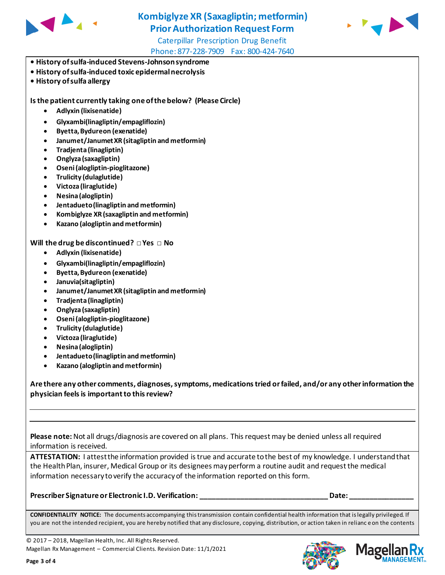



Caterpillar Prescription Drug Benefit Phone: 877-228-7909 Fax: 800-424-7640

- **History of sulfa-induced Stevens-Johnson syndrome**
- **History of sulfa-induced toxic epidermal necrolysis**
- **History of sulfa allergy**

**Is the patient currently taking one of the below? (Please Circle)** 

- **Adlyxin (lixisenatide)**
- **Glyxambi(linagliptin/empagliflozin)**
- **Byetta, Bydureon (exenatide)**
- **Janumet/Janumet XR (sitagliptin and metformin)**
- **Tradjenta (linagliptin)**
- **Onglyza (saxagliptin)**
- **Oseni (alogliptin-pioglitazone)**
- **Trulicity (dulaglutide)**
- **Victoza (liraglutide)**
- **Nesina (alogliptin)**
- **Jentadueto (linagliptin and metformin)**
- **Kombiglyze XR (saxagliptin and metformin)**
- **Kazano (alogliptin and metformin)**

**Will the drug be discontinued? □ Yes □ No**

- **Adlyxin (lixisenatide)**
- **Glyxambi(linagliptin/empagliflozin)**
- **Byetta, Bydureon (exenatide)**
- **Januvia(sitagliptin)**
- **Janumet/Janumet XR (sitagliptin and metformin)**
- **Tradjenta (linagliptin)**
- **Onglyza (saxagliptin)**
- **Oseni (alogliptin-pioglitazone)**
- **Trulicity (dulaglutide)**
- **Victoza (liraglutide)**
- **Nesina (alogliptin)**
- **Jentadueto (linagliptin and metformin)**
- **Kazano (alogliptin and metformin)**

**Are there any other comments, diagnoses, symptoms, medications tried or failed, and/or any other information the physician feels is important to this review?**

**Please note:** Not all drugs/diagnosis are covered on all plans. This request may be denied unless all required information is received.

**ATTESTATION:** I attest the information provided is true and accurate to the best of my knowledge. I understand that the Health Plan, insurer, Medical Group or its designees may perform a routine audit and request the medical information necessary to verify the accuracy of the information reported on this form.

**Prescriber Signature or Electronic I.D. Verification: with a set of the set of the Date:** Date:

**CONFIDENTIALITY NOTICE:** The documents accompanying this transmission contain confidential health information that is legally privileged. If you are not the intended recipient, you are hereby notified that any disclosure, copying, distribution, or action taken in relianc e on the contents